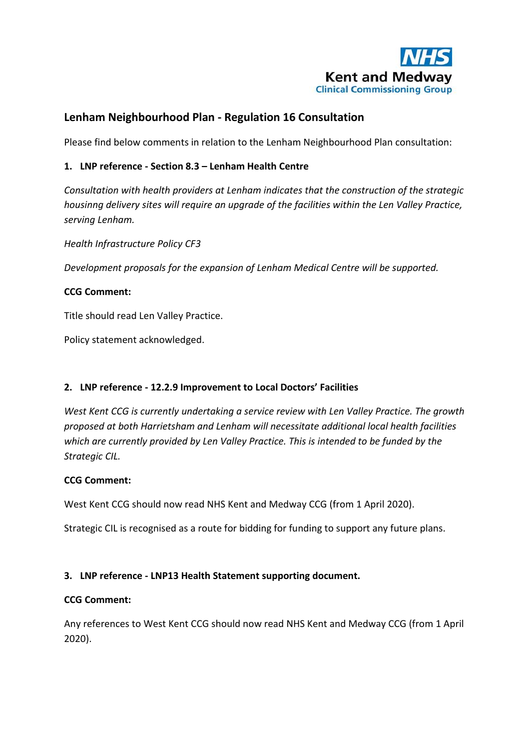

# **Lenham Neighbourhood Plan - Regulation 16 Consultation**

Please find below comments in relation to the Lenham Neighbourhood Plan consultation:

## **1. LNP reference - Section 8.3 – Lenham Health Centre**

*Consultation with health providers at Lenham indicates that the construction of the strategic housinng delivery sites will require an upgrade of the facilities within the Len Valley Practice, serving Lenham.*

*Health Infrastructure Policy CF3*

*Development proposals for the expansion of Lenham Medical Centre will be supported.*

### **CCG Comment:**

Title should read Len Valley Practice.

Policy statement acknowledged.

## **2. LNP reference - 12.2.9 Improvement to Local Doctors' Facilities**

*West Kent CCG is currently undertaking a service review with Len Valley Practice. The growth proposed at both Harrietsham and Lenham will necessitate additional local health facilities which are currently provided by Len Valley Practice. This is intended to be funded by the Strategic CIL.*

#### **CCG Comment:**

West Kent CCG should now read NHS Kent and Medway CCG (from 1 April 2020).

Strategic CIL is recognised as a route for bidding for funding to support any future plans.

## **3. LNP reference - LNP13 Health Statement supporting document.**

#### **CCG Comment:**

Any references to West Kent CCG should now read NHS Kent and Medway CCG (from 1 April 2020).